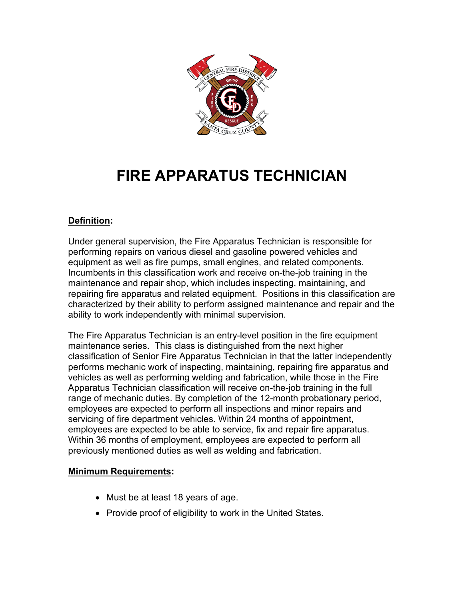

# **FIRE APPARATUS TECHNICIAN**

# **Definition:**

Under general supervision, the Fire Apparatus Technician is responsible for performing repairs on various diesel and gasoline powered vehicles and equipment as well as fire pumps, small engines, and related components. Incumbents in this classification work and receive on-the-job training in the maintenance and repair shop, which includes inspecting, maintaining, and repairing fire apparatus and related equipment. Positions in this classification are characterized by their ability to perform assigned maintenance and repair and the ability to work independently with minimal supervision.

The Fire Apparatus Technician is an entry-level position in the fire equipment maintenance series. This class is distinguished from the next higher classification of Senior Fire Apparatus Technician in that the latter independently performs mechanic work of inspecting, maintaining, repairing fire apparatus and vehicles as well as performing welding and fabrication, while those in the Fire Apparatus Technician classification will receive on-the-job training in the full range of mechanic duties. By completion of the 12-month probationary period, employees are expected to perform all inspections and minor repairs and servicing of fire department vehicles. Within 24 months of appointment, employees are expected to be able to service, fix and repair fire apparatus. Within 36 months of employment, employees are expected to perform all previously mentioned duties as well as welding and fabrication.

# **Minimum Requirements:**

- Must be at least 18 years of age.
- Provide proof of eligibility to work in the United States.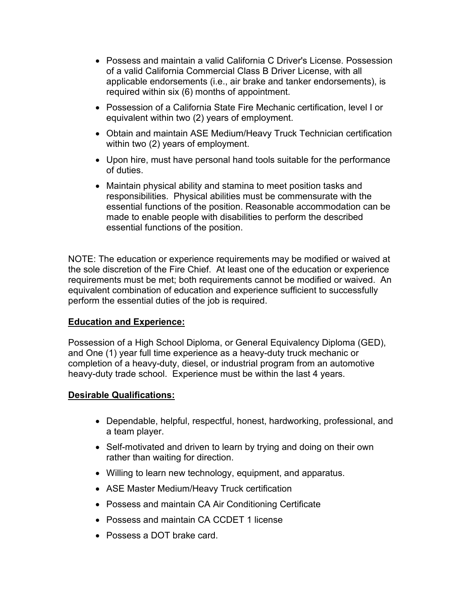- Possess and maintain a valid California C Driver's License. Possession of a valid California Commercial Class B Driver License, with all applicable endorsements (i.e., air brake and tanker endorsements), is required within six (6) months of appointment.
- Possession of a California State Fire Mechanic certification, level I or equivalent within two (2) years of employment.
- Obtain and maintain ASE Medium/Heavy Truck Technician certification within two (2) years of employment.
- Upon hire, must have personal hand tools suitable for the performance of duties.
- Maintain physical ability and stamina to meet position tasks and responsibilities. Physical abilities must be commensurate with the essential functions of the position. Reasonable accommodation can be made to enable people with disabilities to perform the described essential functions of the position.

NOTE: The education or experience requirements may be modified or waived at the sole discretion of the Fire Chief. At least one of the education or experience requirements must be met; both requirements cannot be modified or waived. An equivalent combination of education and experience sufficient to successfully perform the essential duties of the job is required.

# **Education and Experience:**

Possession of a High School Diploma, or General Equivalency Diploma (GED), and One (1) year full time experience as a heavy-duty truck mechanic or completion of a heavy-duty, diesel, or industrial program from an automotive heavy-duty trade school. Experience must be within the last 4 years.

#### **Desirable Qualifications:**

- Dependable, helpful, respectful, honest, hardworking, professional, and a team player.
- Self-motivated and driven to learn by trying and doing on their own rather than waiting for direction.
- Willing to learn new technology, equipment, and apparatus.
- ASE Master Medium/Heavy Truck certification
- Possess and maintain CA Air Conditioning Certificate
- Possess and maintain CA CCDET 1 license
- Possess a DOT brake card.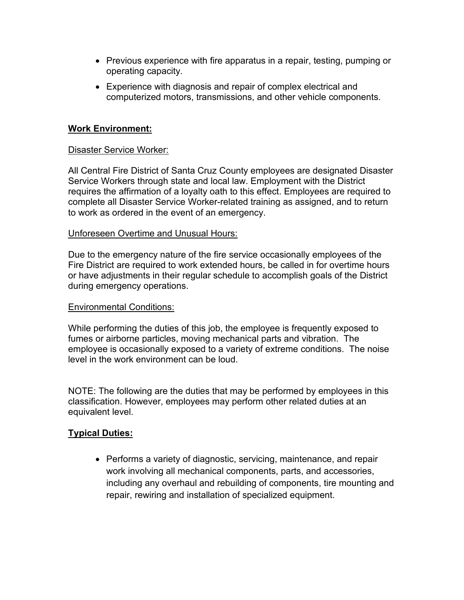- Previous experience with fire apparatus in a repair, testing, pumping or operating capacity.
- Experience with diagnosis and repair of complex electrical and computerized motors, transmissions, and other vehicle components.

### **Work Environment:**

#### Disaster Service Worker:

All Central Fire District of Santa Cruz County employees are designated Disaster Service Workers through state and local law. Employment with the District requires the affirmation of a loyalty oath to this effect. Employees are required to complete all Disaster Service Worker-related training as assigned, and to return to work as ordered in the event of an emergency.

#### Unforeseen Overtime and Unusual Hours:

Due to the emergency nature of the fire service occasionally employees of the Fire District are required to work extended hours, be called in for overtime hours or have adjustments in their regular schedule to accomplish goals of the District during emergency operations.

#### Environmental Conditions:

While performing the duties of this job, the employee is frequently exposed to fumes or airborne particles, moving mechanical parts and vibration. The employee is occasionally exposed to a variety of extreme conditions. The noise level in the work environment can be loud.

NOTE: The following are the duties that may be performed by employees in this classification. However, employees may perform other related duties at an equivalent level.

#### **Typical Duties:**

• Performs a variety of diagnostic, servicing, maintenance, and repair work involving all mechanical components, parts, and accessories, including any overhaul and rebuilding of components, tire mounting and repair, rewiring and installation of specialized equipment.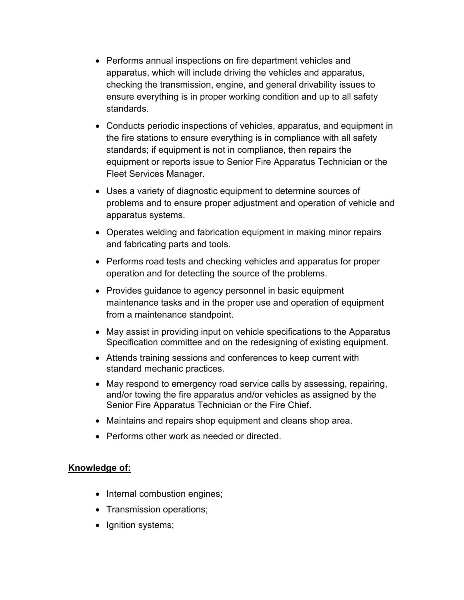- Performs annual inspections on fire department vehicles and apparatus, which will include driving the vehicles and apparatus, checking the transmission, engine, and general drivability issues to ensure everything is in proper working condition and up to all safety standards.
- Conducts periodic inspections of vehicles, apparatus, and equipment in the fire stations to ensure everything is in compliance with all safety standards; if equipment is not in compliance, then repairs the equipment or reports issue to Senior Fire Apparatus Technician or the Fleet Services Manager.
- Uses a variety of diagnostic equipment to determine sources of problems and to ensure proper adjustment and operation of vehicle and apparatus systems.
- Operates welding and fabrication equipment in making minor repairs and fabricating parts and tools.
- Performs road tests and checking vehicles and apparatus for proper operation and for detecting the source of the problems.
- Provides guidance to agency personnel in basic equipment maintenance tasks and in the proper use and operation of equipment from a maintenance standpoint.
- May assist in providing input on vehicle specifications to the Apparatus Specification committee and on the redesigning of existing equipment.
- Attends training sessions and conferences to keep current with standard mechanic practices.
- May respond to emergency road service calls by assessing, repairing, and/or towing the fire apparatus and/or vehicles as assigned by the Senior Fire Apparatus Technician or the Fire Chief.
- Maintains and repairs shop equipment and cleans shop area.
- Performs other work as needed or directed.

# **Knowledge of:**

- Internal combustion engines;
- Transmission operations;
- Ignition systems;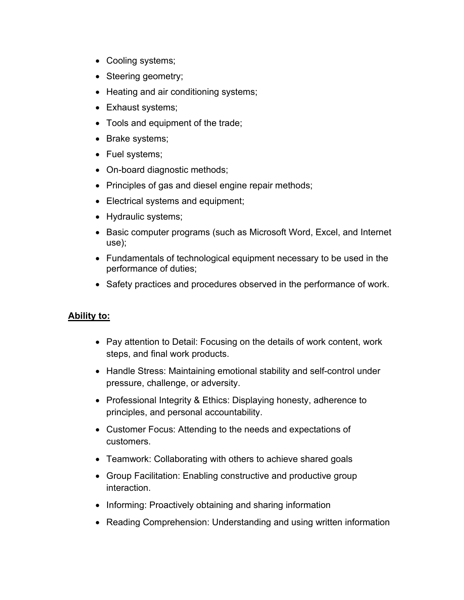- Cooling systems;
- Steering geometry;
- Heating and air conditioning systems;
- Exhaust systems;
- Tools and equipment of the trade;
- Brake systems;
- Fuel systems;
- On-board diagnostic methods;
- Principles of gas and diesel engine repair methods;
- Electrical systems and equipment;
- Hydraulic systems;
- Basic computer programs (such as Microsoft Word, Excel, and Internet use);
- Fundamentals of technological equipment necessary to be used in the performance of duties;
- Safety practices and procedures observed in the performance of work.

# **Ability to:**

- Pay attention to Detail: Focusing on the details of work content, work steps, and final work products.
- Handle Stress: Maintaining emotional stability and self-control under pressure, challenge, or adversity.
- Professional Integrity & Ethics: Displaying honesty, adherence to principles, and personal accountability.
- Customer Focus: Attending to the needs and expectations of customers.
- Teamwork: Collaborating with others to achieve shared goals
- Group Facilitation: Enabling constructive and productive group interaction.
- Informing: Proactively obtaining and sharing information
- Reading Comprehension: Understanding and using written information